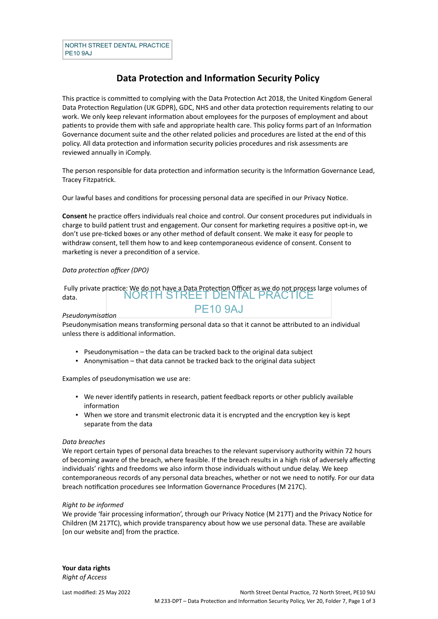# **Data Protection and Information Security Policy**

This practice is committed to complying with the Data Protection Act 2018, the United Kingdom General Data Protection Regulation (UK GDPR), GDC, NHS and other data protection requirements relating to our work. We only keep relevant information about employees for the purposes of employment and about patients to provide them with safe and appropriate health care. This policy forms part of an Information Governance document suite and the other related policies and procedures are listed at the end of this policy. All data protection and information security policies procedures and risk assessments are reviewed annually in iComply.

The person responsible for data protection and information security is the Information Governance Lead, Tracey Fitzpatrick.

Our lawful bases and conditions for processing personal data are specified in our Privacy Notice.

**Consent** he practice offers individuals real choice and control. Our consent procedures put individuals in charge to build patient trust and engagement. Our consent for marketing requires a positive opt-in, we don't use pre-ticked boxes or any other method of default consent. We make it easy for people to withdraw consent, tell them how to and keep contemporaneous evidence of consent. Consent to marketing is never a precondition of a service.

# *Data protection officer (DPO)*

NORTH STREET DENTAL PRACTICE Fully private practice: We do not have a Data Protection Officer as we do not process large volumes of PE10 9AJ data.

# *Pseudonymisation*

Pseudonymisation means transforming personal data so that it cannot be attributed to an individual unless there is additional information.

- Pseudonymisation the data can be tracked back to the original data subject
- Anonymisation that data cannot be tracked back to the original data subject

Examples of pseudonymisation we use are:

- We never identify patients in research, patient feedback reports or other publicly available information
- When we store and transmit electronic data it is encrypted and the encryption key is kept separate from the data

# *Data breaches*

We report certain types of personal data breaches to the relevant supervisory authority within 72 hours of becoming aware of the breach, where feasible. If the breach results in a high risk of adversely affecting individuals' rights and freedoms we also inform those individuals without undue delay. We keep contemporaneous records of any personal data breaches, whether or not we need to notify. For our data breach notification procedures see Information Governance Procedures (M 217C).

# *Right to be informed*

We provide 'fair processing information', through our Privacy Notice (M 217T) and the Privacy Notice for Children (M 217TC), which provide transparency about how we use personal data. These are available [on our website and] from the practice.

**Your data rights** *Right of Access*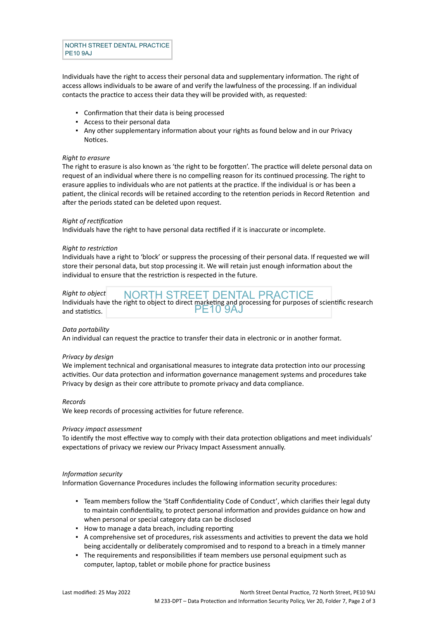NORTH STREET DENTAL PRACTICE PE10 9AJ

Individuals have the right to access their personal data and supplementary information. The right of access allows individuals to be aware of and verify the lawfulness of the processing. If an individual contacts the practice to access their data they will be provided with, as requested:

- Confirmation that their data is being processed
- Access to their personal data
- **•** Any other supplementary information about your rights as found below and in our Privacy Notices.

# *Right to erasure*

The right to erasure is also known as 'the right to be forgotten'. The practice will delete personal data on request of an individual where there is no compelling reason for its continued processing. The right to erasure applies to individuals who are not patients at the practice. If the individual is or has been a patient, the clinical records will be retained according to the retention periods in Record Retention and after the periods stated can be deleted upon request.

# *Right of rectification*

Individuals have the right to have personal data rectified if it is inaccurate or incomplete.

# *Right to restriction*

Individuals have a right to 'block' or suppress the processing of their personal data. If requested we will store their personal data, but stop processing it. We will retain just enough information about the individual to ensure that the restriction is respected in the future.

#### NORTH STREET DENTAL PRACTICE PE10 9AJ *Right to object* Individuals have the right to object to direct marketing and processing for purposes of scientific research and statistics.

# *Data portability*

An individual can request the practice to transfer their data in electronic or in another format.

# *Privacy by design*

We implement technical and organisational measures to integrate data protection into our processing activities. Our data protection and information governance management systems and procedures take Privacy by design as their core attribute to promote privacy and data compliance.

# *Records*

We keep records of processing activities for future reference.

# *Privacy impact assessment*

To identify the most effective way to comply with their data protection obligations and meet individuals' expectations of privacy we review our Privacy Impact Assessment annually.

# *Information security*

Information Governance Procedures includes the following information security procedures:

- Team members follow the 'Staff Confidentiality Code of Conduct', which clarifies their legal duty to maintain confidentiality, to protect personal information and provides guidance on how and when personal or special category data can be disclosed
- How to manage a data breach, including reporting
- A comprehensive set of procedures, risk assessments and activities to prevent the data we hold being accidentally or deliberately compromised and to respond to a breach in a timely manner
- The requirements and responsibilities if team members use personal equipment such as computer, laptop, tablet or mobile phone for practice business